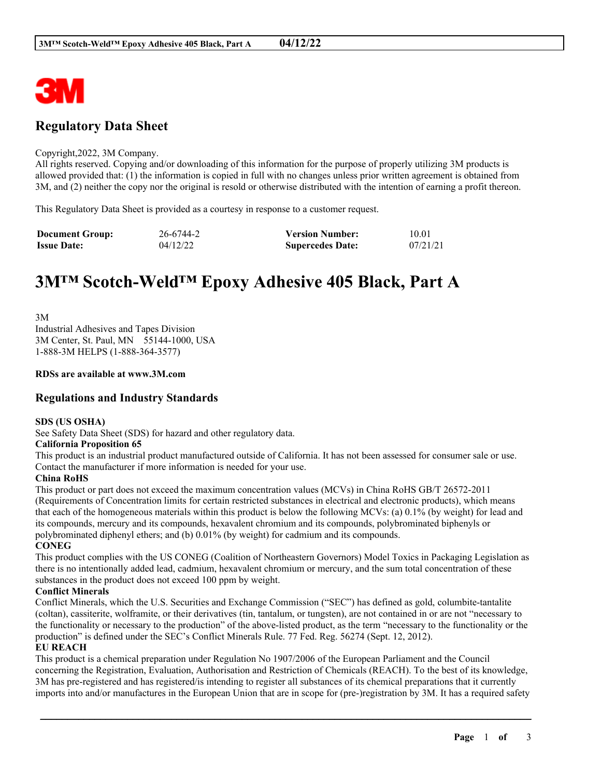

## **Regulatory Data Sheet**

#### Copyright,2022, 3M Company.

All rights reserved. Copying and/or downloading of this information for the purpose of properly utilizing 3M products is allowed provided that: (1) the information is copied in full with no changes unless prior written agreement is obtained from 3M, and (2) neither the copy nor the original is resold or otherwise distributed with the intention of earning a profit thereon.

This Regulatory Data Sheet is provided as a courtesy in response to a customer request.

| <b>Document Group:</b> | 26-6744-2 | <b>Version Number:</b>  | 10.01    |
|------------------------|-----------|-------------------------|----------|
| <b>Issue Date:</b>     | 04/12/22  | <b>Supercedes Date:</b> | 07/21/21 |

# **3M™ Scotch-Weld™ Epoxy Adhesive 405 Black, Part A**

3M Industrial Adhesives and Tapes Division 3M Center, St. Paul, MN 55144-1000, USA 1-888-3M HELPS (1-888-364-3577)

#### **RDSs are available at www.3M.com**

## **Regulations and Industry Standards**

#### **SDS (US OSHA)**

See Safety Data Sheet (SDS) for hazard and other regulatory data.

#### **California Proposition 65**

This product is an industrial product manufactured outside of California. It has not been assessed for consumer sale or use. Contact the manufacturer if more information is needed for your use.

### **China RoHS**

This product or part does not exceed the maximum concentration values (MCVs) in China RoHS GB/T 26572-2011 (Requirements of Concentration limits for certain restricted substances in electrical and electronic products), which means that each of the homogeneous materials within this product is below the following MCVs: (a) 0.1% (by weight) for lead and its compounds, mercury and its compounds, hexavalent chromium and its compounds, polybrominated biphenyls or polybrominated diphenyl ethers; and (b) 0.01% (by weight) for cadmium and its compounds.

**CONEG**

This product complies with the US CONEG (Coalition of Northeastern Governors) Model Toxics in Packaging Legislation as there is no intentionally added lead, cadmium, hexavalent chromium or mercury, and the sum total concentration of these substances in the product does not exceed 100 ppm by weight.

### **Conflict Minerals**

Conflict Minerals, which the U.S. Securities and Exchange Commission ("SEC") has defined as gold, columbite-tantalite (coltan), cassiterite, wolframite, or their derivatives (tin, tantalum, or tungsten), are not contained in or are not "necessary to the functionality or necessary to the production" of the above-listed product, as the term "necessary to the functionality or the production" is defined under the SEC's Conflict Minerals Rule. 77 Fed. Reg. 56274 (Sept. 12, 2012).

## **EU REACH**

This product is a chemical preparation under Regulation No 1907/2006 of the European Parliament and the Council concerning the Registration, Evaluation, Authorisation and Restriction of Chemicals (REACH). To the best of its knowledge, 3M has pre-registered and has registered/is intending to register all substances of its chemical preparations that it currently imports into and/or manufactures in the European Union that are in scope for (pre-)registration by 3M. It has a required safety

\_\_\_\_\_\_\_\_\_\_\_\_\_\_\_\_\_\_\_\_\_\_\_\_\_\_\_\_\_\_\_\_\_\_\_\_\_\_\_\_\_\_\_\_\_\_\_\_\_\_\_\_\_\_\_\_\_\_\_\_\_\_\_\_\_\_\_\_\_\_\_\_\_\_\_\_\_\_\_\_\_\_\_\_\_\_\_\_\_\_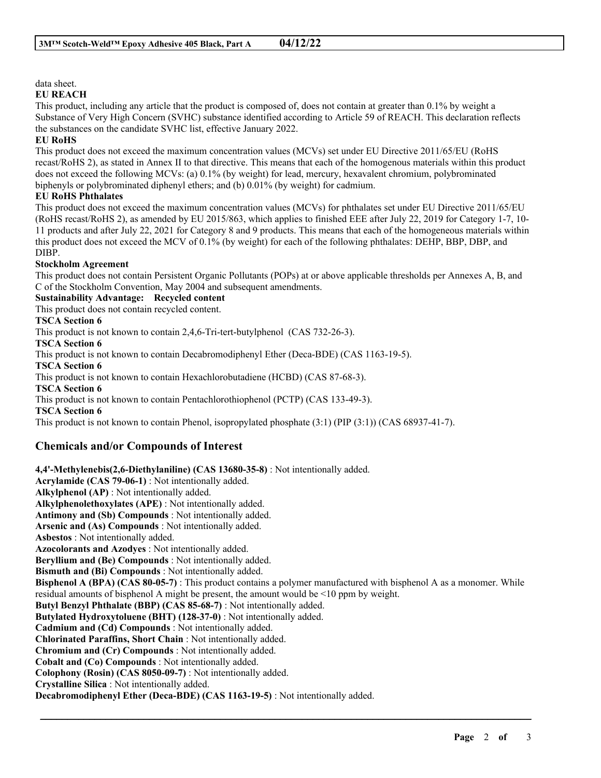## data sheet.

#### **EU REACH**

This product, including any article that the product is composed of, does not contain at greater than 0.1% by weight a Substance of Very High Concern (SVHC) substance identified according to Article 59 of REACH. This declaration reflects the substances on the candidate SVHC list, effective January 2022.

## **EU RoHS**

This product does not exceed the maximum concentration values (MCVs) set under EU Directive 2011/65/EU (RoHS recast/RoHS 2), as stated in Annex II to that directive. This means that each of the homogenous materials within this product does not exceed the following MCVs: (a) 0.1% (by weight) for lead, mercury, hexavalent chromium, polybrominated biphenyls or polybrominated diphenyl ethers; and (b) 0.01% (by weight) for cadmium.

## **EU RoHS Phthalates**

This product does not exceed the maximum concentration values (MCVs) for phthalates set under EU Directive 2011/65/EU (RoHS recast/RoHS 2), as amended by EU 2015/863, which applies to finished EEE after July 22, 2019 for Category 1-7, 10- 11 products and after July 22, 2021 for Category 8 and 9 products. This means that each of the homogeneous materials within this product does not exceed the MCV of 0.1% (by weight) for each of the following phthalates: DEHP, BBP, DBP, and DIBP.

#### **Stockholm Agreement**

This product does not contain Persistent Organic Pollutants (POPs) at or above applicable thresholds per Annexes A, B, and C of the Stockholm Convention, May 2004 and subsequent amendments.

#### **Sustainability Advantage: Recycled content**

This product does not contain recycled content.

### **TSCA Section 6**

This product is not known to contain 2,4,6-Tri-tert-butylphenol (CAS 732-26-3).

**TSCA Section 6**

This product is not known to contain Decabromodiphenyl Ether (Deca-BDE) (CAS 1163-19-5).

**TSCA Section 6**

This product is not known to contain Hexachlorobutadiene (HCBD) (CAS 87-68-3).

**TSCA Section 6**

This product is not known to contain Pentachlorothiophenol (PCTP) (CAS 133-49-3).

**TSCA Section 6**

This product is not known to contain Phenol, isopropylated phosphate (3:1) (PIP (3:1)) (CAS 68937-41-7).

## **Chemicals and/or Compounds of Interest**

**4,4'-Methylenebis(2,6-Diethylaniline) (CAS 13680-35-8)** : Not intentionally added. **Acrylamide (CAS 79-06-1)** : Not intentionally added. **Alkylphenol (AP)** : Not intentionally added. **Alkylphenolethoxylates (APE)** : Not intentionally added. **Antimony and (Sb) Compounds** : Not intentionally added. **Arsenic and (As) Compounds** : Not intentionally added. **Asbestos** : Not intentionally added. **Azocolorants and Azodyes** : Not intentionally added. **Beryllium and (Be) Compounds** : Not intentionally added. **Bismuth and (Bi) Compounds** : Not intentionally added. **Bisphenol A (BPA) (CAS 80-05-7)** : This product contains a polymer manufactured with bisphenol A as a monomer. While residual amounts of bisphenol A might be present, the amount would be <10 ppm by weight. **Butyl Benzyl Phthalate (BBP) (CAS 85-68-7)** : Not intentionally added. **Butylated Hydroxytoluene (BHT) (128-37-0)** : Not intentionally added. **Cadmium and (Cd) Compounds** : Not intentionally added. **Chlorinated Paraffins, Short Chain** : Not intentionally added. **Chromium and (Cr) Compounds** : Not intentionally added. **Cobalt and (Co) Compounds** : Not intentionally added. **Colophony (Rosin) (CAS 8050-09-7)** : Not intentionally added. **Crystalline Silica** : Not intentionally added. **Decabromodiphenyl Ether (Deca-BDE) (CAS 1163-19-5)** : Not intentionally added.

\_\_\_\_\_\_\_\_\_\_\_\_\_\_\_\_\_\_\_\_\_\_\_\_\_\_\_\_\_\_\_\_\_\_\_\_\_\_\_\_\_\_\_\_\_\_\_\_\_\_\_\_\_\_\_\_\_\_\_\_\_\_\_\_\_\_\_\_\_\_\_\_\_\_\_\_\_\_\_\_\_\_\_\_\_\_\_\_\_\_